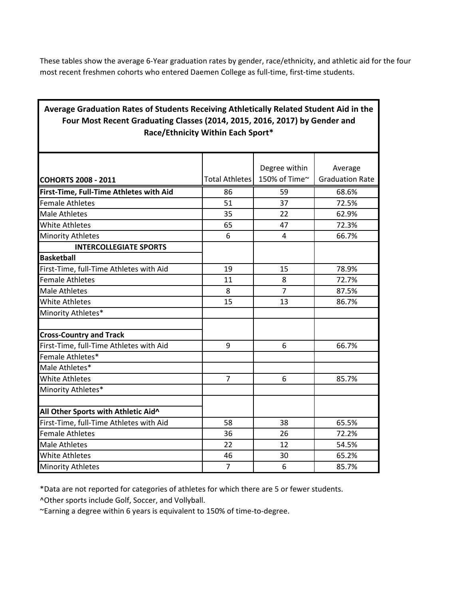These tables show the average 6-Year graduation rates by gender, race/ethnicity, and athletic aid for the four most recent freshmen cohorts who entered Daemen College as full-time, first-time students.

## **Average Graduation Rates of Students Receiving Athletically Related Student Aid in the Four Most Recent Graduating Classes (2014, 2015, 2016, 2017) by Gender and Race/Ethnicity Within Each Sport\***

|                | Degree within<br>150% of Time~ | Average<br><b>Graduation Rate</b> |
|----------------|--------------------------------|-----------------------------------|
| 86             | 59                             | 68.6%                             |
| 51             | 37                             | 72.5%                             |
| 35             | 22                             | 62.9%                             |
| 65             | 47                             | 72.3%                             |
| 6              | $\overline{4}$                 | 66.7%                             |
|                |                                |                                   |
|                |                                |                                   |
| 19             | 15                             | 78.9%                             |
| 11             | 8                              | 72.7%                             |
| 8              | $\overline{7}$                 | 87.5%                             |
| 15             | 13                             | 86.7%                             |
|                |                                |                                   |
|                |                                |                                   |
| 9              | 6                              | 66.7%                             |
|                |                                |                                   |
|                |                                |                                   |
| $\overline{7}$ | 6                              | 85.7%                             |
|                |                                |                                   |
|                |                                |                                   |
| 58             | 38                             | 65.5%                             |
| 36             | 26                             | 72.2%                             |
| 22             | 12                             | 54.5%                             |
| 46             | 30                             | 65.2%                             |
| $\overline{7}$ | 6                              | 85.7%                             |
|                |                                | <b>Total Athletes</b>             |

\*Data are not reported for categories of athletes for which there are 5 or fewer students.

^Other sports include Golf, Soccer, and Vollyball.

~Earning a degree within 6 years is equivalent to 150% of time-to-degree.